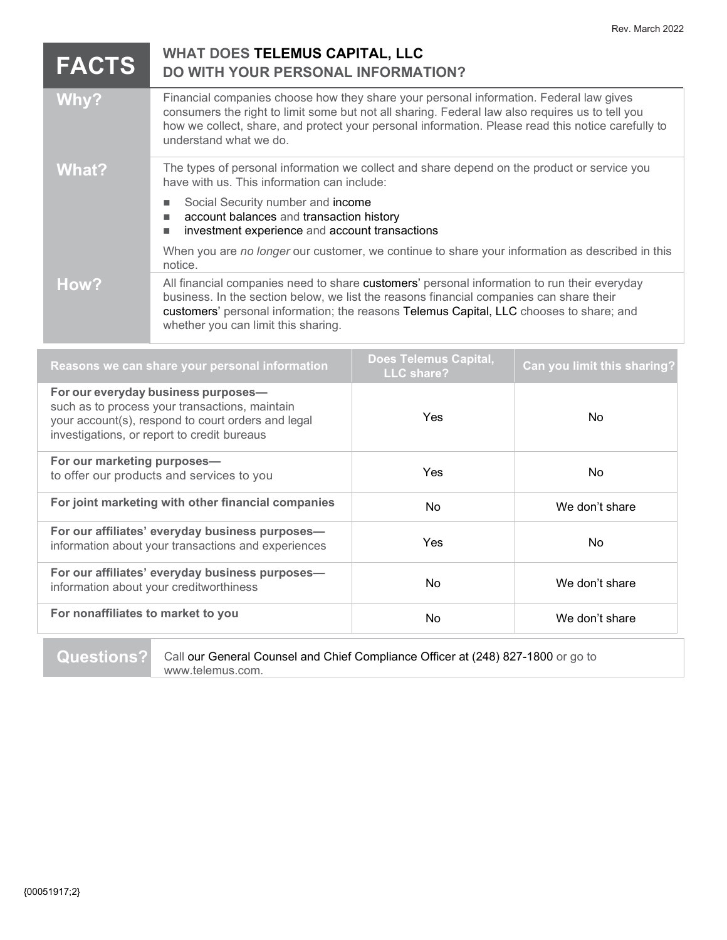| <b>FACTS</b>                                                                          | <b>WHAT DOES TELEMUS CAPITAL, LLC</b><br>DO WITH YOUR PERSONAL INFORMATION?                                                                                                                                                                                                                                               |                                     |                             |  |
|---------------------------------------------------------------------------------------|---------------------------------------------------------------------------------------------------------------------------------------------------------------------------------------------------------------------------------------------------------------------------------------------------------------------------|-------------------------------------|-----------------------------|--|
| Why?                                                                                  | Financial companies choose how they share your personal information. Federal law gives<br>consumers the right to limit some but not all sharing. Federal law also requires us to tell you<br>how we collect, share, and protect your personal information. Please read this notice carefully to<br>understand what we do. |                                     |                             |  |
| <b>What?</b>                                                                          | The types of personal information we collect and share depend on the product or service you<br>have with us. This information can include:                                                                                                                                                                                |                                     |                             |  |
|                                                                                       | Social Security number and income<br>account balances and transaction history<br>investment experience and account transactions                                                                                                                                                                                           |                                     |                             |  |
|                                                                                       | When you are no longer our customer, we continue to share your information as described in this<br>notice.                                                                                                                                                                                                                |                                     |                             |  |
| How?                                                                                  | All financial companies need to share customers' personal information to run their everyday<br>business. In the section below, we list the reasons financial companies can share their<br>customers' personal information; the reasons Telemus Capital, LLC chooses to share; and<br>whether you can limit this sharing.  |                                     |                             |  |
| Reasons we can share your personal information                                        |                                                                                                                                                                                                                                                                                                                           | Does Telemus Capital,<br>LLC share? | Can you limit this sharing? |  |
| For our everyday business purposes-<br>such as to process your transactions, maintain |                                                                                                                                                                                                                                                                                                                           |                                     |                             |  |

| such as to process your transactions, maintain<br>your account(s), respond to court orders and legal<br>investigations, or report to credit bureaus | <b>Yes</b> | No.            |
|-----------------------------------------------------------------------------------------------------------------------------------------------------|------------|----------------|
| For our marketing purposes-<br>to offer our products and services to you                                                                            | <b>Yes</b> | No.            |
| For joint marketing with other financial companies                                                                                                  | No.        | We don't share |
| For our affiliates' everyday business purposes-<br>information about your transactions and experiences                                              | <b>Yes</b> | No.            |
| For our affiliates' everyday business purposes-<br>information about your creditworthiness                                                          | No.        | We don't share |
| For nonaffiliates to market to you                                                                                                                  | No.        | We don't share |

**Questions?** Call our General Counsel and Chief Compliance Officer at (248) 827-1800 or go to www.telemus.com.